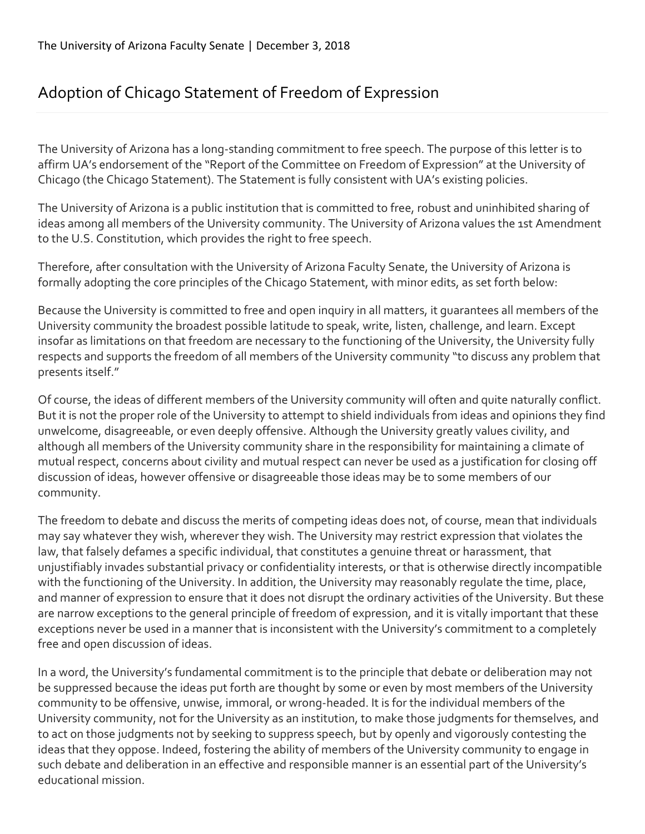## Adoption of Chicago Statement of Freedom of Expression

The University of Arizona has a long-standing commitment to free speech. The purpose of this letter is to affirm UA's endorsement of the "Report of the Committee on Freedom of Expression" at the University of Chicago (the Chicago Statement). The Statement is fully consistent with UA's existing policies.

The University of Arizona is a public institution that is committed to free, robust and uninhibited sharing of ideas among all members of the University community. The University of Arizona values the 1st Amendment to the U.S. Constitution, which provides the right to free speech.

Therefore, after consultation with the University of Arizona Faculty Senate, the University of Arizona is formally adopting the core principles of the Chicago Statement, with minor edits, as set forth below:

Because the University is committed to free and open inquiry in all matters, it guarantees all members of the University community the broadest possible latitude to speak, write, listen, challenge, and learn. Except insofar as limitations on that freedom are necessary to the functioning of the University, the University fully respects and supports the freedom of all members of the University community "to discuss any problem that presents itself."

Of course, the ideas of different members of the University community will often and quite naturally conflict. But it is not the proper role of the University to attempt to shield individuals from ideas and opinions they find unwelcome, disagreeable, or even deeply offensive. Although the University greatly values civility, and although all members of the University community share in the responsibility for maintaining a climate of mutual respect, concerns about civility and mutual respect can never be used as a justification for closing off discussion of ideas, however offensive or disagreeable those ideas may be to some members of our community.

The freedom to debate and discuss the merits of competing ideas does not, of course, mean that individuals may say whatever they wish, wherever they wish. The University may restrict expression that violates the law, that falsely defames a specific individual, that constitutes a genuine threat or harassment, that unjustifiably invades substantial privacy or confidentiality interests, or that is otherwise directly incompatible with the functioning of the University. In addition, the University may reasonably regulate the time, place, and manner of expression to ensure that it does not disrupt the ordinary activities of the University. But these are narrow exceptions to the general principle of freedom of expression, and it is vitally important that these exceptions never be used in a manner that is inconsistent with the University's commitment to a completely free and open discussion of ideas.

In a word, the University's fundamental commitment is to the principle that debate or deliberation may not be suppressed because the ideas put forth are thought by some or even by most members of the University community to be offensive, unwise, immoral, or wrong-headed. It is for the individual members of the University community, not for the University as an institution, to make those judgments for themselves, and to act on those judgments not by seeking to suppress speech, but by openly and vigorously contesting the ideas that they oppose. Indeed, fostering the ability of members of the University community to engage in such debate and deliberation in an effective and responsible manner is an essential part of the University's educational mission.